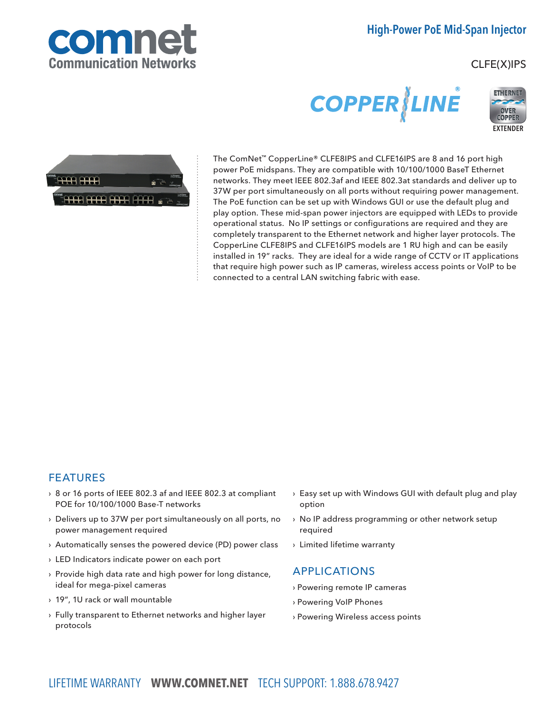

# High-Power PoE Mid-Span Injector

## CLFE(X)IPS

# **COPPER LINE**





The ComNet™ CopperLine® CLFE8IPS and CLFE16IPS are 8 and 16 port high power PoE midspans. They are compatible with 10/100/1000 BaseT Ethernet networks. They meet IEEE 802.3af and IEEE 802.3at standards and deliver up to 37W per port simultaneously on all ports without requiring power management. The PoE function can be set up with Windows GUI or use the default plug and play option. These mid-span power injectors are equipped with LEDs to provide operational status. No IP settings or configurations are required and they are completely transparent to the Ethernet network and higher layer protocols. The CopperLine CLFE8IPS and CLFE16IPS models are 1 RU high and can be easily installed in 19" racks. They are ideal for a wide range of CCTV or IT applications that require high power such as IP cameras, wireless access points or VoIP to be connected to a central LAN switching fabric with ease.

## FEATURES

- › 8 or 16 ports of IEEE 802.3 af and IEEE 802.3 at compliant POE for 10/100/1000 Base-T networks
- › Delivers up to 37W per port simultaneously on all ports, no power management required
- › Automatically senses the powered device (PD) power class
- › LED Indicators indicate power on each port
- › Provide high data rate and high power for long distance, ideal for mega-pixel cameras
- › 19", 1U rack or wall mountable
- › Fully transparent to Ethernet networks and higher layer protocols
- › Easy set up with Windows GUI with default plug and play option
- › No IP address programming or other network setup required
- › Limited lifetime warranty

#### APPLICATIONS

- › Powering remote IP cameras
- › Powering VoIP Phones
- › Powering Wireless access points